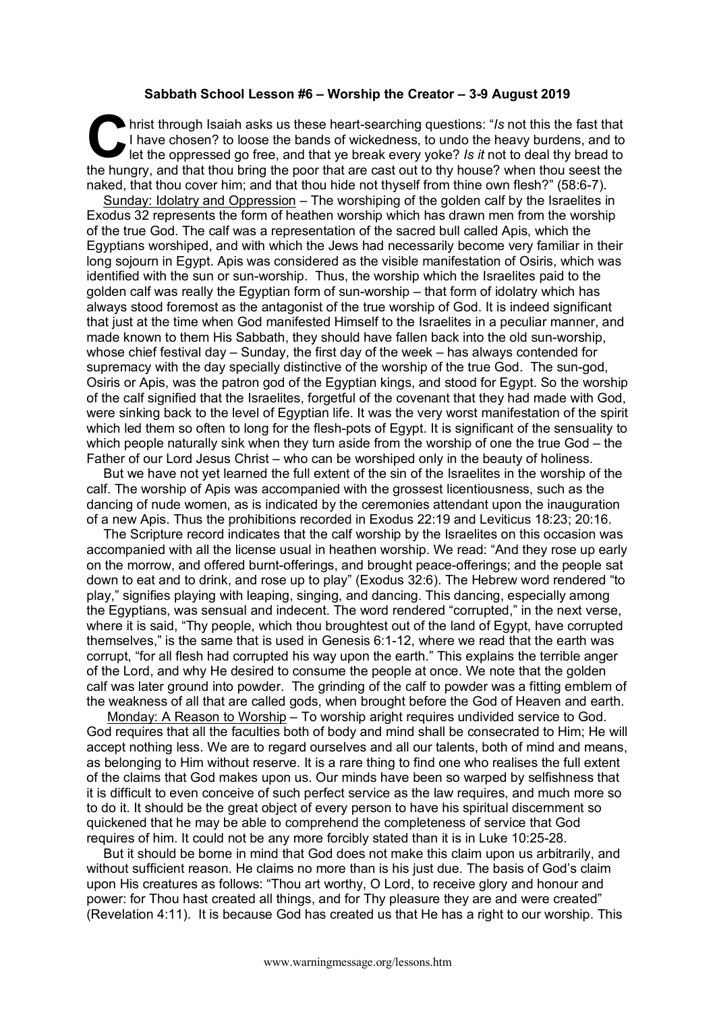## **Sabbath School Lesson #6 – Worship the Creator – 3-9 August 2019**

hrist through Isaiah asks us these heart-searching questions: "*Is* not this the fast that I have chosen? to loose the bands of wickedness, to undo the heavy burdens, and to let the oppressed go free, and that ye break eve I have chosen? to loose the bands of wickedness, to undo the heavy burdens, and to let the oppressed go free, and that ye break every yoke? *Is it* not to deal thy bread to the hungry, and that thou bring the poor that are cast out to thy house? when thou seest the naked, that thou cover him; and that thou hide not thyself from thine own flesh?" (58:6-7).

Sunday: Idolatry and Oppression – The worshiping of the golden calf by the Israelites in Exodus 32 represents the form of heathen worship which has drawn men from the worship of the true God. The calf was a representation of the sacred bull called Apis, which the Egyptians worshiped, and with which the Jews had necessarily become very familiar in their long sojourn in Egypt. Apis was considered as the visible manifestation of Osiris, which was identified with the sun or sun-worship. Thus, the worship which the Israelites paid to the golden calf was really the Egyptian form of sun-worship – that form of idolatry which has always stood foremost as the antagonist of the true worship of God. It is indeed significant that just at the time when God manifested Himself to the Israelites in a peculiar manner, and made known to them His Sabbath, they should have fallen back into the old sun-worship, whose chief festival day – Sunday, the first day of the week – has always contended for supremacy with the day specially distinctive of the worship of the true God. The sun-god, Osiris or Apis, was the patron god of the Egyptian kings, and stood for Egypt. So the worship of the calf signified that the Israelites, forgetful of the covenant that they had made with God, were sinking back to the level of Egyptian life. It was the very worst manifestation of the spirit which led them so often to long for the flesh-pots of Egypt. It is significant of the sensuality to which people naturally sink when they turn aside from the worship of one the true God – the Father of our Lord Jesus Christ – who can be worshiped only in the beauty of holiness.

But we have not yet learned the full extent of the sin of the Israelites in the worship of the calf. The worship of Apis was accompanied with the grossest licentiousness, such as the dancing of nude women, as is indicated by the ceremonies attendant upon the inauguration of a new Apis. Thus the prohibitions recorded in Exodus 22:19 and Leviticus 18:23; 20:16.

The Scripture record indicates that the calf worship by the Israelites on this occasion was accompanied with all the license usual in heathen worship. We read: "And they rose up early on the morrow, and offered burnt-offerings, and brought peace-offerings; and the people sat down to eat and to drink, and rose up to play" (Exodus 32:6). The Hebrew word rendered "to play," signifies playing with leaping, singing, and dancing. This dancing, especially among the Egyptians, was sensual and indecent. The word rendered "corrupted," in the next verse, where it is said, "Thy people, which thou broughtest out of the land of Egypt, have corrupted themselves," is the same that is used in Genesis 6:1-12, where we read that the earth was corrupt, "for all flesh had corrupted his way upon the earth." This explains the terrible anger of the Lord, and why He desired to consume the people at once. We note that the golden calf was later ground into powder. The grinding of the calf to powder was a fitting emblem of the weakness of all that are called gods, when brought before the God of Heaven and earth.

Monday: A Reason to Worship – To worship aright requires undivided service to God. God requires that all the faculties both of body and mind shall be consecrated to Him; He will accept nothing less. We are to regard ourselves and all our talents, both of mind and means, as belonging to Him without reserve. It is a rare thing to find one who realises the full extent of the claims that God makes upon us. Our minds have been so warped by selfishness that it is difficult to even conceive of such perfect service as the law requires, and much more so to do it. It should be the great object of every person to have his spiritual discernment so quickened that he may be able to comprehend the completeness of service that God requires of him. It could not be any more forcibly stated than it is in Luke 10:25-28.

But it should be borne in mind that God does not make this claim upon us arbitrarily, and without sufficient reason. He claims no more than is his just due. The basis of God's claim upon His creatures as follows: "Thou art worthy, O Lord, to receive glory and honour and power: for Thou hast created all things, and for Thy pleasure they are and were created" (Revelation 4:11). It is because God has created us that He has a right to our worship. This